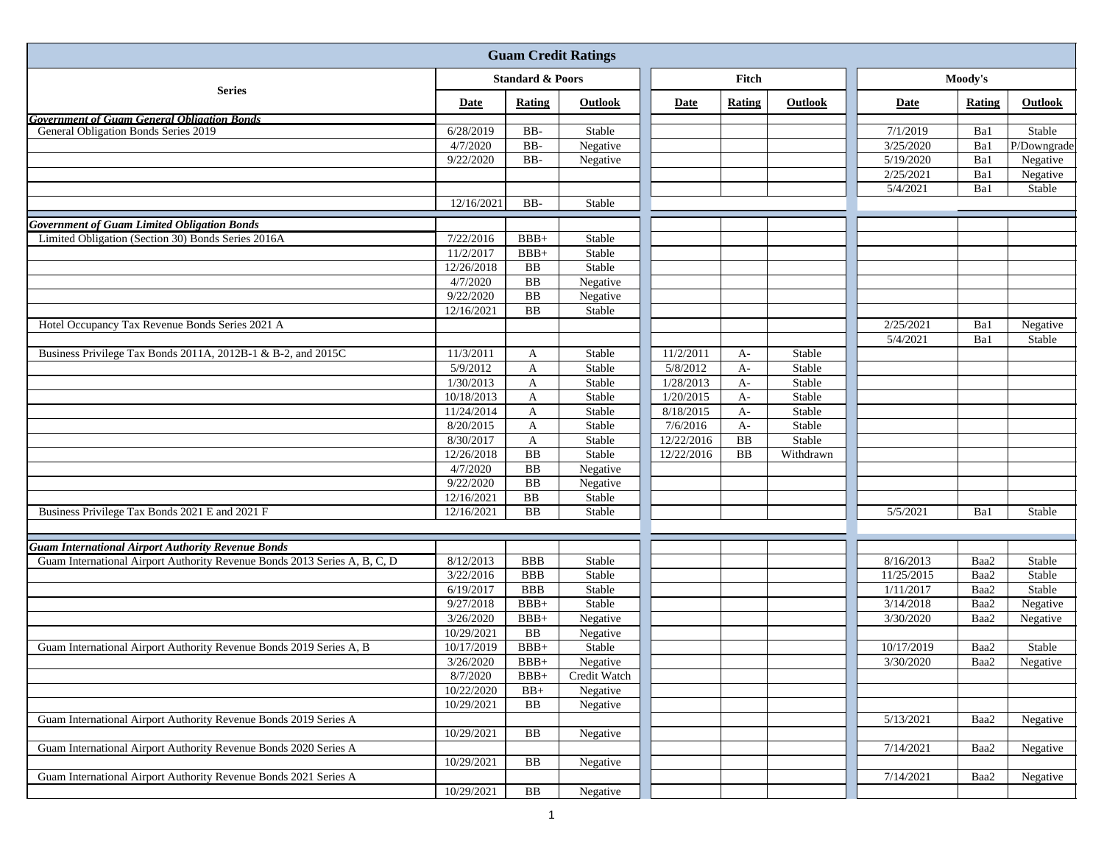| <b>Guam Credit Ratings</b>                                                |                             |                 |              |            |            |           |                        |        |             |  |
|---------------------------------------------------------------------------|-----------------------------|-----------------|--------------|------------|------------|-----------|------------------------|--------|-------------|--|
|                                                                           | <b>Standard &amp; Poors</b> |                 |              |            | Fitch      |           | Moody's                |        |             |  |
| <b>Series</b>                                                             | Date                        | Rating          | Outlook      | Date       | Rating     | Outlook   | Date                   | Rating | Outlook     |  |
| <b>Government of Guam General Obligation Bonds</b>                        |                             |                 |              |            |            |           |                        |        |             |  |
| General Obligation Bonds Series 2019                                      | 6/28/2019                   | $BB-$           | Stable       |            |            |           | 7/1/2019               | Ba1    | Stable      |  |
|                                                                           | 4/7/2020                    | BB-             | Negative     |            |            |           | 3/25/2020              | Ba1    | P/Downgrade |  |
|                                                                           | 9/22/2020                   | $BB-$           | Negative     |            |            |           | $\overline{5/19/2020}$ | Ba1    | Negative    |  |
|                                                                           |                             |                 |              |            |            |           | 2/25/2021              | Ba1    | Negative    |  |
|                                                                           |                             |                 |              |            |            |           | 5/4/2021               | Ba1    | Stable      |  |
|                                                                           | 12/16/2021                  | $BB-$           | Stable       |            |            |           |                        |        |             |  |
| <b>Government of Guam Limited Obligation Bonds</b>                        |                             |                 |              |            |            |           |                        |        |             |  |
| Limited Obligation (Section 30) Bonds Series 2016A                        | 7/22/2016                   | $BBB+$          | Stable       |            |            |           |                        |        |             |  |
|                                                                           | 11/2/2017                   | $BBB+$          | Stable       |            |            |           |                        |        |             |  |
|                                                                           | 12/26/2018                  | <b>BB</b>       | Stable       |            |            |           |                        |        |             |  |
|                                                                           | 4/7/2020                    | ${\bf BB}$      | Negative     |            |            |           |                        |        |             |  |
|                                                                           | 9/22/2020                   | $\overline{BB}$ | Negative     |            |            |           |                        |        |             |  |
|                                                                           | 12/16/2021                  | $\rm BB$        | Stable       |            |            |           |                        |        |             |  |
| Hotel Occupancy Tax Revenue Bonds Series 2021 A                           |                             |                 |              |            |            |           | 2/25/2021              | Ba1    | Negative    |  |
|                                                                           |                             |                 |              |            |            |           | 5/4/2021               | Ba1    | Stable      |  |
| Business Privilege Tax Bonds 2011A, 2012B-1 & B-2, and 2015C              | 11/3/2011                   | A               | Stable       | 11/2/2011  | $A-$       | Stable    |                        |        |             |  |
|                                                                           | 5/9/2012                    | A               | Stable       | 5/8/2012   | $A-$       | Stable    |                        |        |             |  |
|                                                                           | 1/30/2013                   | $\mathbf{A}$    | Stable       | 1/28/2013  | $A-$       | Stable    |                        |        |             |  |
|                                                                           | 10/18/2013                  | $\mathbf{A}$    | Stable       | 1/20/2015  | $A-$       | Stable    |                        |        |             |  |
|                                                                           | 11/24/2014                  | A               | Stable       | 8/18/2015  | $A-$       | Stable    |                        |        |             |  |
|                                                                           | 8/20/2015                   | A               | Stable       | 7/6/2016   | $A-$       | Stable    |                        |        |             |  |
|                                                                           | 8/30/2017                   | $\mathbf{A}$    | Stable       | 12/22/2016 | <b>BB</b>  | Stable    |                        |        |             |  |
|                                                                           | 12/26/2018                  | B <sub>B</sub>  | Stable       | 12/22/2016 | ${\bf BB}$ | Withdrawn |                        |        |             |  |
|                                                                           | 4/7/2020                    | ${\bf BB}$      | Negative     |            |            |           |                        |        |             |  |
|                                                                           | 9/22/2020                   | $\overline{BB}$ | Negative     |            |            |           |                        |        |             |  |
|                                                                           | 12/16/2021                  | BB              | Stable       |            |            |           |                        |        |             |  |
| Business Privilege Tax Bonds 2021 E and 2021 F                            | 12/16/2021                  | ${\bf BB}$      | Stable       |            |            |           | 5/5/2021               | Ba1    | Stable      |  |
|                                                                           |                             |                 |              |            |            |           |                        |        |             |  |
| <b>Guam International Airport Authority Revenue Bonds</b>                 |                             |                 |              |            |            |           |                        |        |             |  |
| Guam International Airport Authority Revenue Bonds 2013 Series A, B, C, D | 8/12/2013                   | <b>BBB</b>      | Stable       |            |            |           | 8/16/2013              | Baa2   | Stable      |  |
|                                                                           | 3/22/2016                   | <b>BBB</b>      | Stable       |            |            |           | 11/25/2015             | Baa2   | Stable      |  |
|                                                                           | 6/19/2017                   | <b>BBB</b>      | Stable       |            |            |           | 1/11/2017              | Baa2   | Stable      |  |
|                                                                           | 9/27/2018                   | $BBB+$          | Stable       |            |            |           | 3/14/2018              | Baa2   | Negative    |  |
|                                                                           | 3/26/2020                   | $BBB+$          | Negative     |            |            |           | 3/30/2020              | Baa2   | Negative    |  |
|                                                                           | 10/29/2021                  | B <sub>B</sub>  | Negative     |            |            |           |                        |        |             |  |
| Guam International Airport Authority Revenue Bonds 2019 Series A, B       | 10/17/2019                  | $BBB+$          | Stable       |            |            |           | 10/17/2019             | Baa2   | Stable      |  |
|                                                                           | 3/26/2020                   | $BBB+$          | Negative     |            |            |           | 3/30/2020              | Baa2   | Negative    |  |
|                                                                           | 8/7/2020                    | $BBB+$          | Credit Watch |            |            |           |                        |        |             |  |
|                                                                           | 10/22/2020                  | $BB+$           | Negative     |            |            |           |                        |        |             |  |
|                                                                           | 10/29/2021                  | BB              | Negative     |            |            |           |                        |        |             |  |
| Guam International Airport Authority Revenue Bonds 2019 Series A          |                             |                 |              |            |            |           | 5/13/2021              | Baa2   | Negative    |  |
|                                                                           | 10/29/2021                  | BB              | Negative     |            |            |           |                        |        |             |  |
| Guam International Airport Authority Revenue Bonds 2020 Series A          |                             |                 |              |            |            |           | 7/14/2021              | Baa2   | Negative    |  |
|                                                                           | 10/29/2021                  | BB              | Negative     |            |            |           |                        |        |             |  |
| Guam International Airport Authority Revenue Bonds 2021 Series A          |                             |                 |              |            |            |           | 7/14/2021              | Baa2   | Negative    |  |
|                                                                           | 10/29/2021                  | BB              | Negative     |            |            |           |                        |        |             |  |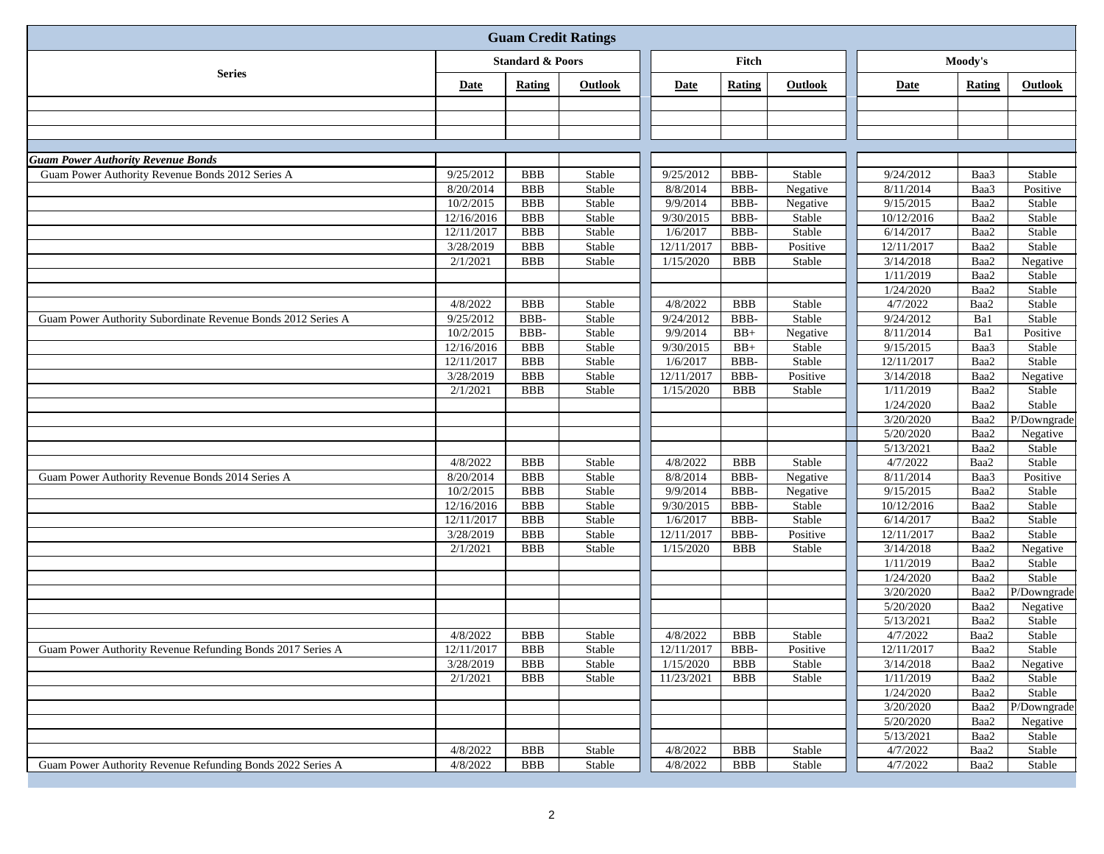| <b>Guam Credit Ratings</b>                                                                    |                             |                          |                  |                       |              |                    |                        |              |                    |
|-----------------------------------------------------------------------------------------------|-----------------------------|--------------------------|------------------|-----------------------|--------------|--------------------|------------------------|--------------|--------------------|
|                                                                                               | <b>Standard &amp; Poors</b> |                          | Fitch            |                       |              | Moody's            |                        |              |                    |
| <b>Series</b>                                                                                 | Date                        | Rating                   | <b>Outlook</b>   | Date                  | Rating       | Outlook            | Date                   | Rating       | Outlook            |
|                                                                                               |                             |                          |                  |                       |              |                    |                        |              |                    |
|                                                                                               |                             |                          |                  |                       |              |                    |                        |              |                    |
|                                                                                               |                             |                          |                  |                       |              |                    |                        |              |                    |
|                                                                                               |                             |                          |                  |                       |              |                    |                        |              |                    |
| <b>Guam Power Authority Revenue Bonds</b><br>Guam Power Authority Revenue Bonds 2012 Series A |                             |                          |                  |                       |              |                    |                        |              |                    |
|                                                                                               | 9/25/2012<br>8/20/2014      | <b>BBB</b><br><b>BBB</b> | Stable<br>Stable | 9/25/2012<br>8/8/2014 | BBB-<br>BBB- | Stable<br>Negative | 9/24/2012<br>8/11/2014 | Baa3<br>Baa3 | Stable<br>Positive |
|                                                                                               | 10/2/2015                   | <b>BBB</b>               | Stable           | 9/9/2014              | BBB-         | Negative           | 9/15/2015              | Baa2         | Stable             |
|                                                                                               | 12/16/2016                  | <b>BBB</b>               | Stable           | 9/30/2015             | BBB-         | Stable             | 10/12/2016             | Baa2         | Stable             |
|                                                                                               | 12/11/2017                  | <b>BBB</b>               | Stable           | 1/6/2017              | BBB-         | Stable             | 6/14/2017              | Baa2         | Stable             |
|                                                                                               | 3/28/2019                   | <b>BBB</b>               | Stable           | 12/11/2017            | BBB-         | Positive           | 12/11/2017             | Baa2         | Stable             |
|                                                                                               | 2/1/2021                    | <b>BBB</b>               | Stable           | 1/15/2020             | <b>BBB</b>   | Stable             | 3/14/2018              | Baa2         | Negative           |
|                                                                                               |                             |                          |                  |                       |              |                    | 1/11/2019              | Baa2         | Stable             |
|                                                                                               |                             |                          |                  |                       |              |                    | 1/24/2020              | Baa2         | Stable             |
|                                                                                               | 4/8/2022                    | <b>BBB</b>               | Stable           | 4/8/2022              | <b>BBB</b>   | Stable             | 4/7/2022               | Baa2         | Stable             |
| Guam Power Authority Subordinate Revenue Bonds 2012 Series A                                  | 9/25/2012                   | BBB-                     | Stable           | 9/24/2012             | BBB-         | Stable             | 9/24/2012              | Ba1          | Stable             |
|                                                                                               | 10/2/2015                   | BBB-                     | Stable           | 9/9/2014              | $BB+$        | Negative           | 8/11/2014              | Ba1          | Positive           |
|                                                                                               | 12/16/2016                  | <b>BBB</b>               | Stable           | 9/30/2015             | $BB+$        | Stable             | 9/15/2015              | Baa3         | Stable             |
|                                                                                               | 12/11/2017                  | <b>BBB</b>               | Stable           | 1/6/2017              | BBB-         | Stable             | 12/11/2017             | Baa2         | Stable             |
|                                                                                               | 3/28/2019                   | <b>BBB</b>               | Stable           | 12/11/2017            | BBB-         | Positive           | 3/14/2018              | Baa2         | Negative           |
|                                                                                               | 2/1/2021                    | <b>BBB</b>               | Stable           | 1/15/2020             | <b>BBB</b>   | Stable             | 1/11/2019              | Baa2         | Stable             |
|                                                                                               |                             |                          |                  |                       |              |                    | 1/24/2020              | Baa2         | Stable             |
|                                                                                               |                             |                          |                  |                       |              |                    | 3/20/2020              | Baa2         | P/Downgrade        |
|                                                                                               |                             |                          |                  |                       |              |                    | 5/20/2020              | Baa2         | Negative           |
|                                                                                               |                             |                          |                  |                       |              |                    | 5/13/2021              | Baa2         | Stable             |
|                                                                                               | 4/8/2022                    | <b>BBB</b>               | Stable           | 4/8/2022              | <b>BBB</b>   | Stable             | 4/7/2022               | Baa2         | Stable             |
| Guam Power Authority Revenue Bonds 2014 Series A                                              | 8/20/2014<br>10/2/2015      | <b>BBB</b><br><b>BBB</b> | Stable           | 8/8/2014<br>9/9/2014  | BBB-         | Negative           | 8/11/2014<br>9/15/2015 | Baa3<br>Baa2 | Positive           |
|                                                                                               | 12/16/2016                  | <b>BBB</b>               | Stable<br>Stable | 9/30/2015             | BBB-<br>BBB- | Negative<br>Stable | 10/12/2016             | Baa2         | Stable<br>Stable   |
|                                                                                               | 12/11/2017                  | <b>BBB</b>               | Stable           | 1/6/2017              | BBB-         | Stable             | 6/14/2017              | Baa2         | Stable             |
|                                                                                               | 3/28/2019                   | <b>BBB</b>               | Stable           | 12/11/2017            | BBB-         | Positive           | 12/11/2017             | Baa2         | Stable             |
|                                                                                               | 2/1/2021                    | <b>BBB</b>               | Stable           | 1/15/2020             | <b>BBB</b>   | Stable             | 3/14/2018              | Baa2         | Negative           |
|                                                                                               |                             |                          |                  |                       |              |                    | 1/11/2019              | Baa2         | Stable             |
|                                                                                               |                             |                          |                  |                       |              |                    | 1/24/2020              | Baa2         | Stable             |
|                                                                                               |                             |                          |                  |                       |              |                    | 3/20/2020              | Baa2         | P/Downgrade        |
|                                                                                               |                             |                          |                  |                       |              |                    | 5/20/2020              | Baa2         | Negative           |
|                                                                                               |                             |                          |                  |                       |              |                    | 5/13/2021              | Baa2         | Stable             |
|                                                                                               | 4/8/2022                    | <b>BBB</b>               | Stable           | 4/8/2022              | <b>BBB</b>   | Stable             | 4/7/2022               | Baa2         | Stable             |
| Guam Power Authority Revenue Refunding Bonds 2017 Series A                                    | 12/11/2017                  | <b>BBB</b>               | Stable           | 12/11/2017            | BBB-         | Positive           | 12/11/2017             | Baa2         | Stable             |
|                                                                                               | 3/28/2019                   | <b>BBB</b>               | Stable           | 1/15/2020             | <b>BBB</b>   | Stable             | 3/14/2018              | Baa2         | Negative           |
|                                                                                               | 2/1/2021                    | <b>BBB</b>               | Stable           | 11/23/2021            | <b>BBB</b>   | Stable             | 1/11/2019              | Baa2         | Stable             |
|                                                                                               |                             |                          |                  |                       |              |                    | 1/24/2020              | Baa2         | Stable             |
|                                                                                               |                             |                          |                  |                       |              |                    | 3/20/2020              | Baa2         | P/Downgrade        |
|                                                                                               |                             |                          |                  |                       |              |                    | 5/20/2020              | Baa2         | Negative           |
|                                                                                               |                             |                          |                  |                       |              |                    | 5/13/2021              | Baa2         | Stable             |
|                                                                                               | 4/8/2022                    | <b>BBB</b>               | Stable           | 4/8/2022              | <b>BBB</b>   | Stable             | 4/7/2022               | Baa2         | Stable             |
| Guam Power Authority Revenue Refunding Bonds 2022 Series A                                    | 4/8/2022                    | <b>BBB</b>               | Stable           | 4/8/2022              | <b>BBB</b>   | Stable             | 4/7/2022               | Baa2         | Stable             |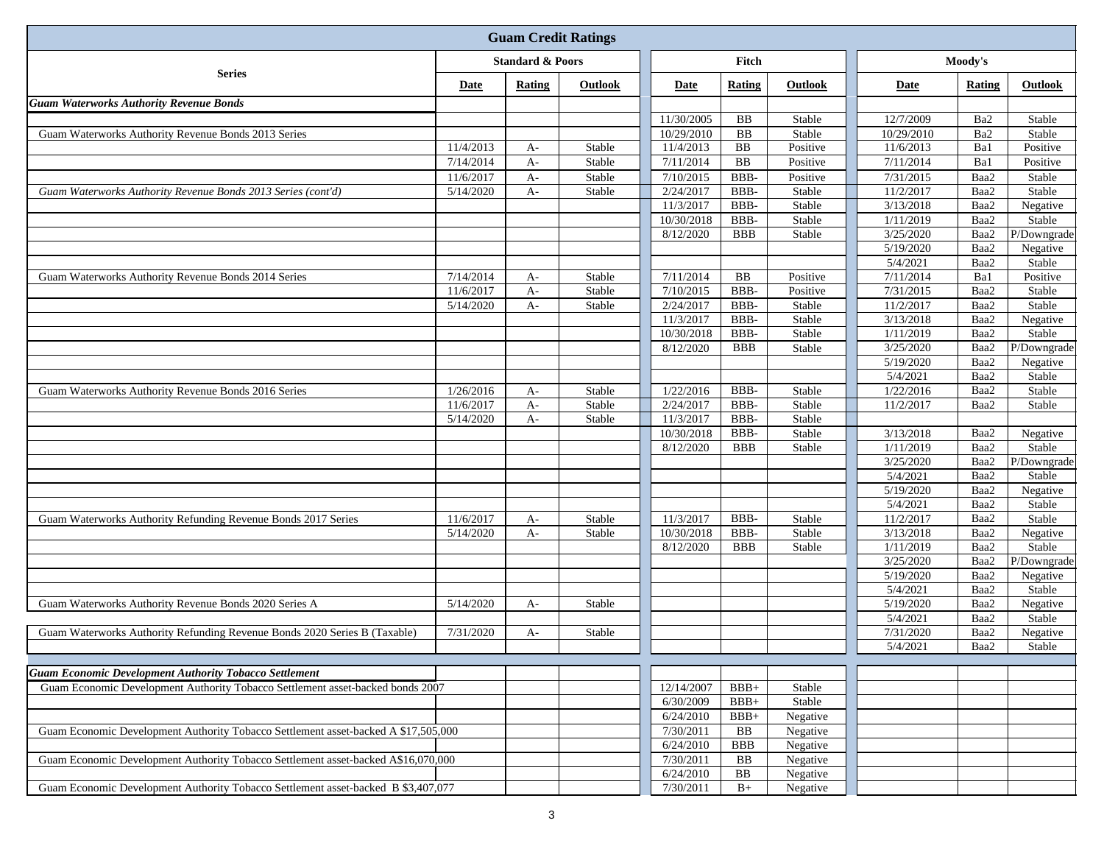| <b>Guam Credit Ratings</b>                                                         |                             |        |                |            |            |          |            |                 |             |
|------------------------------------------------------------------------------------|-----------------------------|--------|----------------|------------|------------|----------|------------|-----------------|-------------|
|                                                                                    | <b>Standard &amp; Poors</b> |        |                | Fitch      |            |          | Moody's    |                 |             |
| <b>Series</b>                                                                      | Date                        | Rating | <b>Outlook</b> | Date       | Rating     | Outlook  | Date       | Rating          | Outlook     |
| <b>Guam Waterworks Authority Revenue Bonds</b>                                     |                             |        |                |            |            |          |            |                 |             |
|                                                                                    |                             |        |                | 11/30/2005 | <b>BB</b>  | Stable   | 12/7/2009  | Ba <sub>2</sub> | Stable      |
| Guam Waterworks Authority Revenue Bonds 2013 Series                                |                             |        |                | 10/29/2010 | ${\bf BB}$ | Stable   | 10/29/2010 | Ba2             | Stable      |
|                                                                                    | 11/4/2013                   | $A-$   | Stable         | 11/4/2013  | <b>BB</b>  | Positive | 11/6/2013  | Ba1             | Positive    |
|                                                                                    | 7/14/2014                   | $A-$   | Stable         | 7/11/2014  | <b>BB</b>  | Positive | 7/11/2014  | Ba1             | Positive    |
|                                                                                    | 11/6/2017                   | $A-$   | Stable         | 7/10/2015  | BBB-       | Positive | 7/31/2015  | Baa2            | Stable      |
| Guam Waterworks Authority Revenue Bonds 2013 Series (cont'd)                       | 5/14/2020                   | $A-$   | Stable         | 2/24/2017  | BBB-       | Stable   | 11/2/2017  | Baa2            | Stable      |
|                                                                                    |                             |        |                | 11/3/2017  | BBB-       | Stable   | 3/13/2018  | Baa2            | Negative    |
|                                                                                    |                             |        |                | 10/30/2018 | BBB-       | Stable   | 1/11/2019  | Baa2            | Stable      |
|                                                                                    |                             |        |                | 8/12/2020  | <b>BBB</b> | Stable   | 3/25/2020  | Baa2            | P/Downgrade |
|                                                                                    |                             |        |                |            |            |          | 5/19/2020  | Baa2            | Negative    |
|                                                                                    |                             |        |                |            |            |          | 5/4/2021   | Baa2            | Stable      |
| Guam Waterworks Authority Revenue Bonds 2014 Series                                | 7/14/2014                   | $A-$   | Stable         | 7/11/2014  | <b>BB</b>  | Positive | 7/11/2014  | Ba1             | Positive    |
|                                                                                    | 11/6/2017                   | $A-$   | Stable         | 7/10/2015  | BBB-       | Positive | 7/31/2015  | Baa2            | Stable      |
|                                                                                    | 5/14/2020                   | $A-$   | Stable         | 2/24/2017  | BBB-       | Stable   | 11/2/2017  | Baa2            | Stable      |
|                                                                                    |                             |        |                | 11/3/2017  | BBB-       | Stable   | 3/13/2018  | Baa2            | Negative    |
|                                                                                    |                             |        |                | 10/30/2018 | BBB-       | Stable   | 1/11/2019  | Baa2            | Stable      |
|                                                                                    |                             |        |                | 8/12/2020  | <b>BBB</b> | Stable   | 3/25/2020  | Baa2            | P/Downgrade |
|                                                                                    |                             |        |                |            |            |          | 5/19/2020  | Baa2            | Negative    |
|                                                                                    |                             |        |                |            |            |          | 5/4/2021   | Baa2            | Stable      |
| Guam Waterworks Authority Revenue Bonds 2016 Series                                | 1/26/2016                   | $A-$   | Stable         | 1/22/2016  | BBB-       | Stable   | 1/22/2016  | Baa2            | Stable      |
|                                                                                    | 11/6/2017                   | $A-$   | Stable         | 2/24/2017  | BBB-       | Stable   | 11/2/2017  | Baa2            | Stable      |
|                                                                                    | 5/14/2020                   | $A-$   | Stable         | 11/3/2017  | BBB-       | Stable   |            |                 |             |
|                                                                                    |                             |        |                | 10/30/2018 | BBB-       | Stable   | 3/13/2018  | Baa2            | Negative    |
|                                                                                    |                             |        |                | 8/12/2020  | <b>BBB</b> | Stable   | 1/11/2019  | Baa2            | Stable      |
|                                                                                    |                             |        |                |            |            |          | 3/25/2020  | Baa2            | P/Downgrade |
|                                                                                    |                             |        |                |            |            |          | 5/4/2021   | Baa2            | Stable      |
|                                                                                    |                             |        |                |            |            |          | 5/19/2020  | Baa2            | Negative    |
|                                                                                    |                             |        |                |            |            |          | 5/4/2021   | Baa2            | Stable      |
| Guam Waterworks Authority Refunding Revenue Bonds 2017 Series                      | 11/6/2017                   | $A-$   | Stable         | 11/3/2017  | BBB-       | Stable   | 11/2/2017  | Baa2            | Stable      |
|                                                                                    | 5/14/2020                   | $A-$   | Stable         | 10/30/2018 | BBB-       | Stable   | 3/13/2018  | Baa2            | Negative    |
|                                                                                    |                             |        |                | 8/12/2020  | <b>BBB</b> | Stable   | 1/11/2019  | Baa2            | Stable      |
|                                                                                    |                             |        |                |            |            |          | 3/25/2020  | Baa2            | P/Downgrade |
|                                                                                    |                             |        |                |            |            |          | 5/19/2020  | Baa2            | Negative    |
|                                                                                    |                             |        |                |            |            |          | 5/4/2021   | Baa2            | Stable      |
| Guam Waterworks Authority Revenue Bonds 2020 Series A                              | 5/14/2020                   | $A-$   | Stable         |            |            |          | 5/19/2020  | Baa2            | Negative    |
|                                                                                    |                             |        |                |            |            |          | 5/4/2021   | Baa2            | Stable      |
| Guam Waterworks Authority Refunding Revenue Bonds 2020 Series B (Taxable)          | 7/31/2020                   | $A-$   | Stable         |            |            |          | 7/31/2020  | Baa2            | Negative    |
|                                                                                    |                             |        |                |            |            |          | 5/4/2021   | Baa2            | Stable      |
|                                                                                    |                             |        |                |            |            |          |            |                 |             |
| <b>Guam Economic Development Authority Tobacco Settlement</b>                      |                             |        |                |            |            |          |            |                 |             |
| Guam Economic Development Authority Tobacco Settlement asset-backed bonds 2007     |                             |        |                | 12/14/2007 | $BBB+$     | Stable   |            |                 |             |
|                                                                                    |                             |        |                | 6/30/2009  | $BBB+$     | Stable   |            |                 |             |
|                                                                                    |                             |        |                | 6/24/2010  | $BBB+$     | Negative |            |                 |             |
| Guam Economic Development Authority Tobacco Settlement asset-backed A \$17,505,000 |                             |        |                | 7/30/2011  | BB         | Negative |            |                 |             |
|                                                                                    |                             |        |                | 6/24/2010  | <b>BBB</b> | Negative |            |                 |             |
| Guam Economic Development Authority Tobacco Settlement asset-backed A\$16,070,000  |                             |        |                | 7/30/2011  | BB         | Negative |            |                 |             |
|                                                                                    |                             |        |                | 6/24/2010  | BB         | Negative |            |                 |             |
| Guam Economic Development Authority Tobacco Settlement asset-backed B \$3,407,077  |                             |        |                | 7/30/2011  | $B+$       | Negative |            |                 |             |